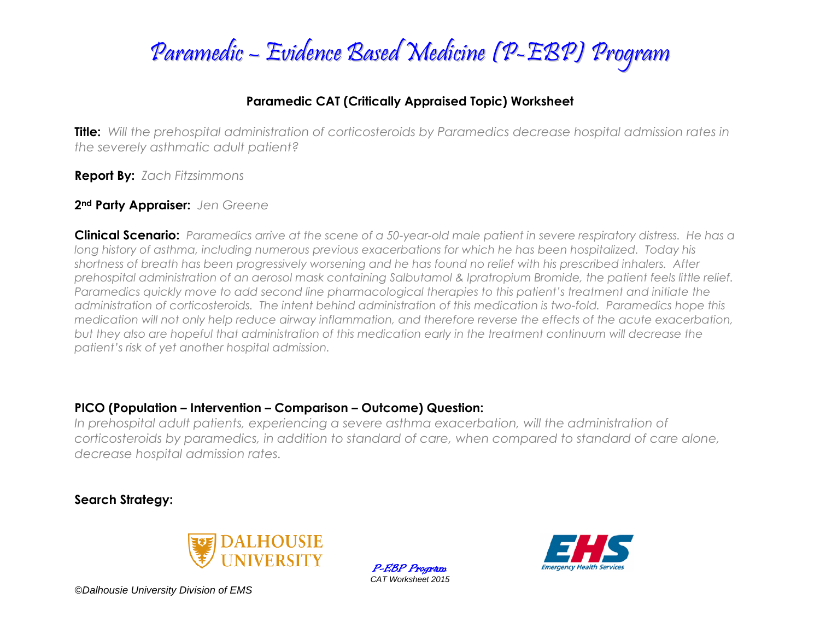

### **Paramedic CAT (Critically Appraised Topic) Worksheet**

**Title:** *Will the prehospital administration of corticosteroids by Paramedics decrease hospital admission rates in the severely asthmatic adult patient?*

**Report By:** *Zach Fitzsimmons*

#### **2nd Party Appraiser:** *Jen Greene*

**Clinical Scenario:** *Paramedics arrive at the scene of a 50-year-old male patient in severe respiratory distress. He has a*  long history of asthma, including numerous previous exacerbations for which he has been hospitalized. Today his *shortness of breath has been progressively worsening and he has found no relief with his prescribed inhalers. After prehospital administration of an aerosol mask containing Salbutamol & Ipratropium Bromide, the patient feels little relief. Paramedics quickly move to add second line pharmacological therapies to this patient's treatment and initiate the administration of corticosteroids. The intent behind administration of this medication is two-fold. Paramedics hope this medication will not only help reduce airway inflammation, and therefore reverse the effects of the acute exacerbation, but they also are hopeful that administration of this medication early in the treatment continuum will decrease the patient's risk of yet another hospital admission.*

#### **PICO (Population – Intervention – Comparison – Outcome) Question:**

In prehospital adult patients, experiencing a severe asthma exacerbation, will the administration of *corticosteroids by paramedics, in addition to standard of care, when compared to standard of care alone, decrease hospital admission rates.*

### **Search Strategy:**



P-EBP Program *CAT Worksheet 2015*

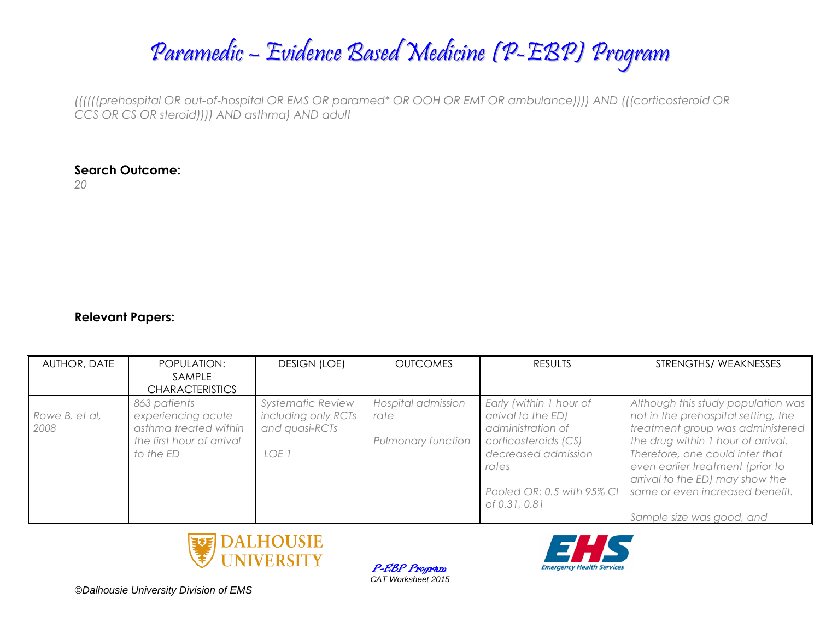Paramedic – Evidence Based Medicine (P-EBP) Program

*((((((prehospital OR out-of-hospital OR EMS OR paramed\* OR OOH OR EMT OR ambulance)))) AND (((corticosteroid OR CCS OR CS OR steroid)))) AND asthma) AND adult*

#### **Search Outcome:**

*20*

#### **Relevant Papers:**

| AUTHOR, DATE           | POPULATION:                                                                                           | <b>DESIGN (LOE)</b>                                                        | <b>OUTCOMES</b>                                  | <b>RESULTS</b>                                                                                                                                                            | STRENGTHS/WEAKNESSES                                                                                                                                                                                                                                                                                                          |
|------------------------|-------------------------------------------------------------------------------------------------------|----------------------------------------------------------------------------|--------------------------------------------------|---------------------------------------------------------------------------------------------------------------------------------------------------------------------------|-------------------------------------------------------------------------------------------------------------------------------------------------------------------------------------------------------------------------------------------------------------------------------------------------------------------------------|
|                        | SAMPLE                                                                                                |                                                                            |                                                  |                                                                                                                                                                           |                                                                                                                                                                                                                                                                                                                               |
|                        | <b>CHARACTERISTICS</b>                                                                                |                                                                            |                                                  |                                                                                                                                                                           |                                                                                                                                                                                                                                                                                                                               |
| Rowe B. et al,<br>2008 | 863 patients<br>experiencing acute<br>asthma treated within<br>the first hour of arrival<br>to the ED | <b>Systematic Review</b><br>including only RCTs<br>and quasi-RCTs<br>LOE 1 | Hospital admission<br>rate<br>Pulmonary function | Early (within 1 hour of<br>arrival to the ED)<br>administration of<br>corticosteroids (CS)<br>decreased admission<br>rates<br>Pooled OR: 0.5 with 95% CI<br>of 0.31, 0.81 | Although this study population was<br>not in the prehospital setting, the<br>treatment group was administered<br>the drug within 1 hour of arrival.<br>Therefore, one could infer that<br>even earlier treatment (prior to<br>arrival to the ED) may show the<br>same or even increased benefit.<br>Sample size was good, and |

P-EBP Program *CAT Worksheet 2015*

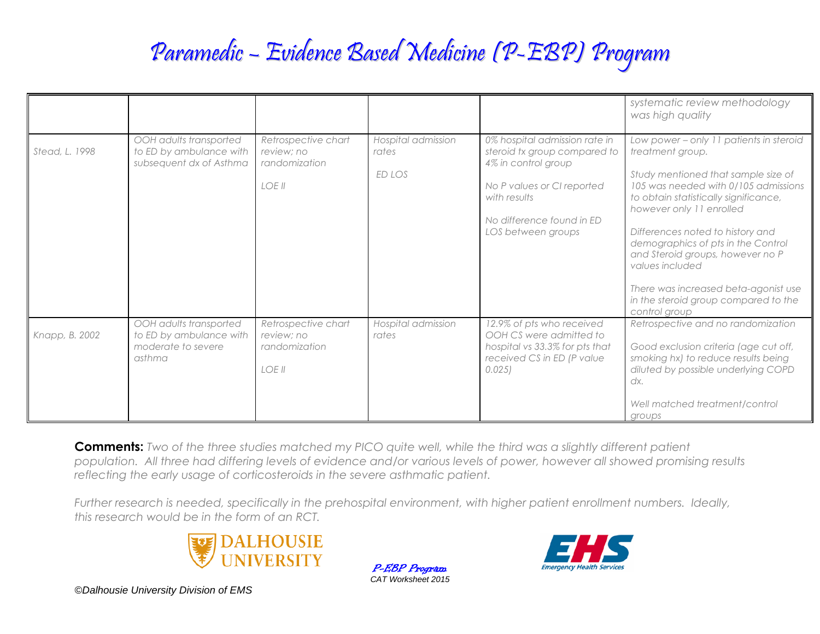# Paramedic – Evidence Based Medicine (P-EBP) Program

|                |                                                                                   |                                                              |                                       |                                                                                                                                                                                       | systematic review methodology<br>was high quality                                                                                                                                                                                                                                                                                                                                                                                                 |
|----------------|-----------------------------------------------------------------------------------|--------------------------------------------------------------|---------------------------------------|---------------------------------------------------------------------------------------------------------------------------------------------------------------------------------------|---------------------------------------------------------------------------------------------------------------------------------------------------------------------------------------------------------------------------------------------------------------------------------------------------------------------------------------------------------------------------------------------------------------------------------------------------|
| Stead, L. 1998 | OOH adults transported<br>to ED by ambulance with<br>subsequent dx of Asthma      | Retrospective chart<br>review; no<br>randomization<br>LOE II | Hospital admission<br>rates<br>ED LOS | 0% hospital admission rate in<br>steroid tx group compared to<br>4% in control group<br>No P values or CI reported<br>with results<br>No difference found in ED<br>LOS between groups | Low power - only 11 patients in steroid<br>treatment group.<br>Study mentioned that sample size of<br>105 was needed with 0/105 admissions<br>to obtain statistically significance,<br>however only 11 enrolled<br>Differences noted to history and<br>demographics of pts in the Control<br>and Steroid groups, however no P<br>values included<br>There was increased beta-agonist use<br>in the steroid group compared to the<br>control group |
| Knapp, B. 2002 | OOH adults transported<br>to ED by ambulance with<br>moderate to severe<br>asthma | Retrospective chart<br>review; no<br>randomization<br>IOFII  | Hospital admission<br>rates           | 12.9% of pts who received<br>OOH CS were admitted to<br>hospital vs 33.3% for pts that<br>received CS in ED (P value<br>0.025                                                         | Retrospective and no randomization<br>Good exclusion criteria (age cut off,<br>smoking hx) to reduce results being<br>diluted by possible underlying COPD<br>dx.<br>Well matched treatment/control<br>groups                                                                                                                                                                                                                                      |

**Comments:** *Two of the three studies matched my PICO quite well, while the third was a slightly different patient population. All three had differing levels of evidence and/or various levels of power, however all showed promising results reflecting the early usage of corticosteroids in the severe asthmatic patient.* 

*Further research is needed, specifically in the prehospital environment, with higher patient enrollment numbers. Ideally, this research would be in the form of an RCT.* 



P-EBP Program *CAT Worksheet 2015*

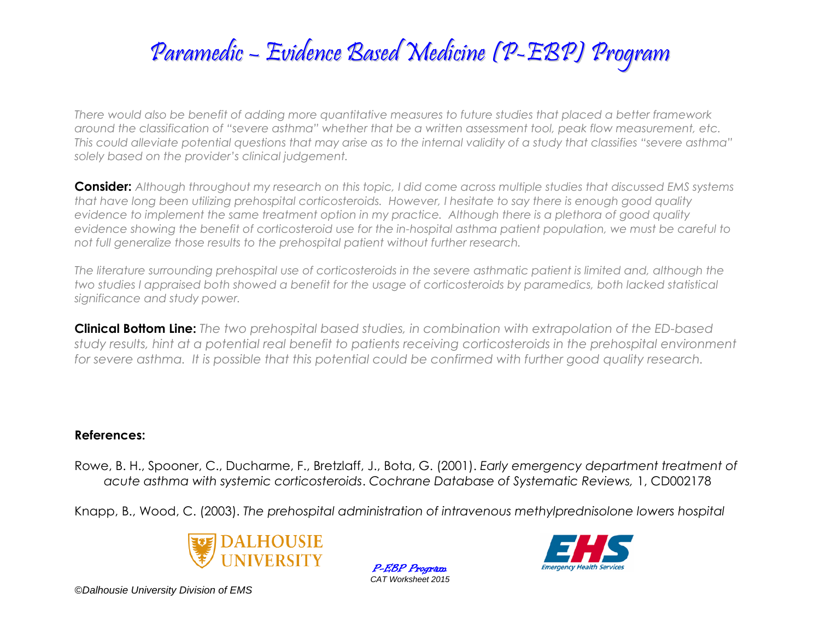# Paramedic – Evidence Based Medicine (P-EBP) Program

*There would also be benefit of adding more quantitative measures to future studies that placed a better framework around the classification of "severe asthma" whether that be a written assessment tool, peak flow measurement, etc. This could alleviate potential questions that may arise as to the internal validity of a study that classifies "severe asthma" solely based on the provider's clinical judgement.*

**Consider:** *Although throughout my research on this topic, I did come across multiple studies that discussed EMS systems that have long been utilizing prehospital corticosteroids. However, I hesitate to say there is enough good quality evidence to implement the same treatment option in my practice. Although there is a plethora of good quality evidence showing the benefit of corticosteroid use for the in-hospital asthma patient population, we must be careful to not full generalize those results to the prehospital patient without further research.*

*The literature surrounding prehospital use of corticosteroids in the severe asthmatic patient is limited and, although the two studies I appraised both showed a benefit for the usage of corticosteroids by paramedics, both lacked statistical significance and study power.*

**Clinical Bottom Line:** *The two prehospital based studies, in combination with extrapolation of the ED-based study results, hint at a potential real benefit to patients receiving corticosteroids in the prehospital environment for severe asthma. It is possible that this potential could be confirmed with further good quality research.* 

#### **References:**

Rowe, B. H., Spooner, C., Ducharme, F., Bretzlaff, J., Bota, G. (2001). *Early emergency department treatment of acute asthma with systemic corticosteroids*. *Cochrane Database of Systematic Reviews,* 1, CD002178

Knapp, B., Wood, C. (2003). *The prehospital administration of intravenous methylprednisolone lowers hospital* 



P-EBP Program *CAT Worksheet 2015*